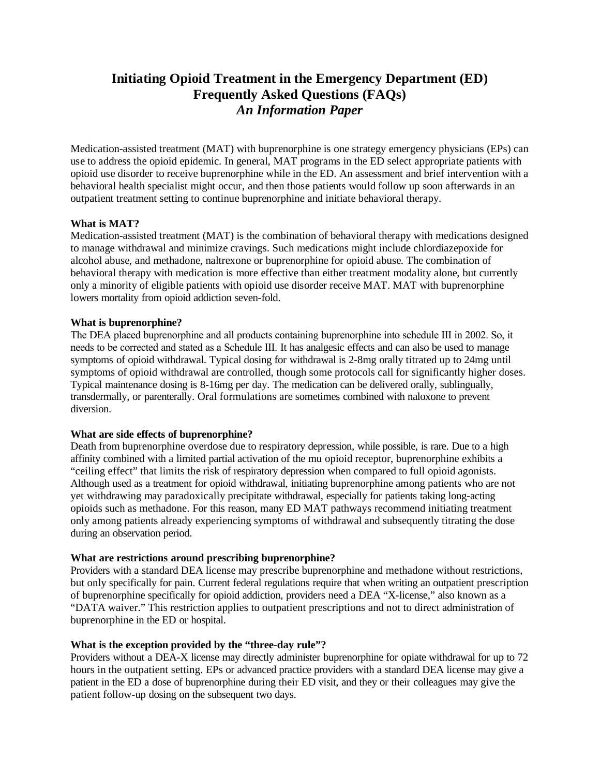# **Initiating Opioid Treatment in the Emergency Department (ED) Frequently Asked Questions (FAQs)**  *An Information Paper*

Medication-assisted treatment (MAT) with buprenorphine is one strategy emergency physicians (EPs) can use to address the opioid epidemic. In general, MAT programs in the ED select appropriate patients with opioid use disorder to receive buprenorphine while in the ED. An assessment and brief intervention with a behavioral health specialist might occur, and then those patients would follow up soon afterwards in an outpatient treatment setting to continue buprenorphine and initiate behavioral therapy.

# **What is MAT?**

Medication-assisted treatment (MAT) is the combination of behavioral therapy with medications designed to manage withdrawal and minimize cravings. Such medications might include chlordiazepoxide for alcohol abuse, and methadone, naltrexone or buprenorphine for opioid abuse. The combination of behavioral therapy with medication is more effective than either treatment modality alone, but currently only a minority of eligible patients with opioid use disorder receive MAT. MAT with buprenorphine lowers mortality from opioid addiction seven-fold.

# **What is buprenorphine?**

The DEA placed buprenorphine and all products containing buprenorphine into schedule III in 2002. So, it needs to be corrected and stated as a Schedule III. It has analgesic effects and can also be used to manage symptoms of opioid withdrawal. Typical dosing for withdrawal is 2-8mg orally titrated up to 24mg until symptoms of opioid withdrawal are controlled, though some protocols call for significantly higher doses. Typical maintenance dosing is 8-16mg per day. The medication can be delivered orally, sublingually, transdermally, or parenterally. Oral formulations are sometimes combined with naloxone to prevent diversion.

# **What are side effects of buprenorphine?**

Death from buprenorphine overdose due to respiratory depression, while possible, is rare. Due to a high affinity combined with a limited partial activation of the mu opioid receptor, buprenorphine exhibits a "ceiling effect" that limits the risk of respiratory depression when compared to full opioid agonists. Although used as a treatment for opioid withdrawal, initiating buprenorphine among patients who are not yet withdrawing may paradoxically precipitate withdrawal, especially for patients taking long-acting opioids such as methadone. For this reason, many ED MAT pathways recommend initiating treatment only among patients already experiencing symptoms of withdrawal and subsequently titrating the dose during an observation period.

# **What are restrictions around prescribing buprenorphine?**

Providers with a standard DEA license may prescribe buprenorphine and methadone without restrictions, but only specifically for pain. Current federal regulations require that when writing an outpatient prescription of buprenorphine specifically for opioid addiction, providers need a DEA "X-license," also known as a "DATA waiver." This restriction applies to outpatient prescriptions and not to direct administration of buprenorphine in the ED or hospital.

#### **What is the exception provided by the "three-day rule"?**

Providers without a DEA-X license may directly administer buprenorphine for opiate withdrawal for up to 72 hours in the outpatient setting. EPs or advanced practice providers with a standard DEA license may give a patient in the ED a dose of buprenorphine during their ED visit, and they or their colleagues may give the patient follow-up dosing on the subsequent two days.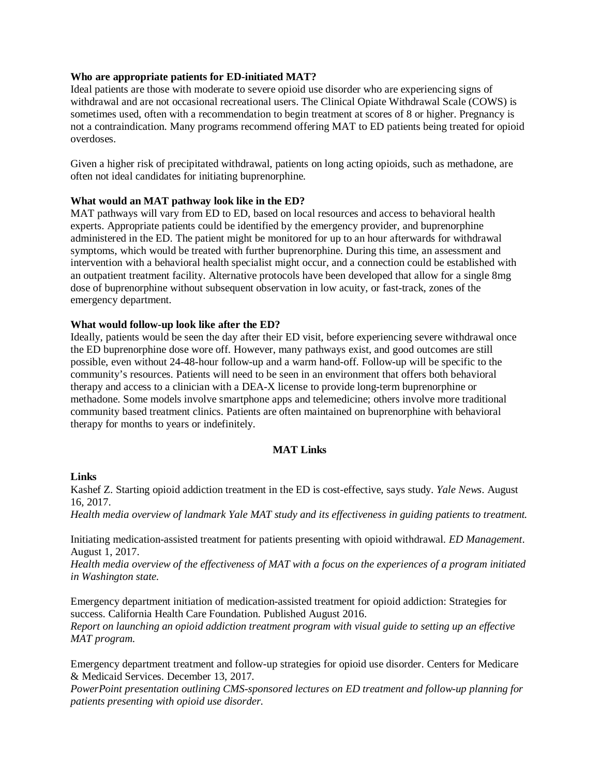# **Who are appropriate patients for ED-initiated MAT?**

Ideal patients are those with moderate to severe opioid use disorder who are experiencing signs of withdrawal and are not occasional recreational users. The Clinical Opiate Withdrawal Scale (COWS) is sometimes used, often with a recommendation to begin treatment at scores of 8 or higher. Pregnancy is not a contraindication. Many programs recommend offering MAT to ED patients being treated for opioid overdoses.

Given a higher risk of precipitated withdrawal, patients on long acting opioids, such as methadone, are often not ideal candidates for initiating buprenorphine.

#### **What would an MAT pathway look like in the ED?**

MAT pathways will vary from ED to ED, based on local resources and access to behavioral health experts. Appropriate patients could be identified by the emergency provider, and buprenorphine administered in the ED. The patient might be monitored for up to an hour afterwards for withdrawal symptoms, which would be treated with further buprenorphine. During this time, an assessment and intervention with a behavioral health specialist might occur, and a connection could be established with an outpatient treatment facility. Alternative protocols have been developed that allow for a single 8mg dose of buprenorphine without subsequent observation in low acuity, or fast-track, zones of the emergency department.

#### **What would follow-up look like after the ED?**

Ideally, patients would be seen the day after their ED visit, before experiencing severe withdrawal once the ED buprenorphine dose wore off. However, many pathways exist, and good outcomes are still possible, even without 24-48-hour follow-up and a warm hand-off. Follow-up will be specific to the community's resources. Patients will need to be seen in an environment that offers both behavioral therapy and access to a clinician with a DEA-X license to provide long-term buprenorphine or methadone. Some models involve smartphone apps and telemedicine; others involve more traditional community based treatment clinics. Patients are often maintained on buprenorphine with behavioral therapy for months to years or indefinitely.

#### **MAT Links**

#### **Links**

Kashef Z. [Starting opioid addiction treatment in the ED is cost-effective, says study](https://news.yale.edu/2017/08/16/starting-opioid-addiction-treatment-ed-cost-effective-says-study). *Yale News*. August 16, 2017.

*Health media overview of landmark Yale MAT study and its effectiveness in guiding patients to treatment.* 

[Initiating medication-assisted treatment for patients](https://www.ahcmedia.com/articles/141037-initiating-medication-assisted-treatment-for-patients-presenting-with-opioid-withdrawal) presenting with opioid withdrawal. *ED Management*. August 1, 2017.

*Health media overview of the effectiveness of MAT with a focus on the experiences of a program initiated in Washington state.* 

Emergency department initiation [of medication-assisted treatment for opioid addiction: Strategies for](https://www.chcf.org/wp-content/uploads/2017/12/PDF-EmergencyDeptMATStrategies.pdf)  [success.](https://www.chcf.org/wp-content/uploads/2017/12/PDF-EmergencyDeptMATStrategies.pdf) California Health Care Foundation. Published August 2016. *Report on launching an opioid addiction treatment program with visual guide to setting up an effective MAT program.* 

Emergency department [treatment and follow-up strategies for opioid use disorder.](https://www.medicaid.gov/state-resource-center/innovation-accelerator-program/iap-downloads/program-areas/fued-webinar.pdf) Centers for Medicare & Medicaid Services. December 13, 2017.

*PowerPoint presentation outlining CMS-sponsored lectures on ED treatment and follow-up planning for patients presenting with opioid use disorder.*